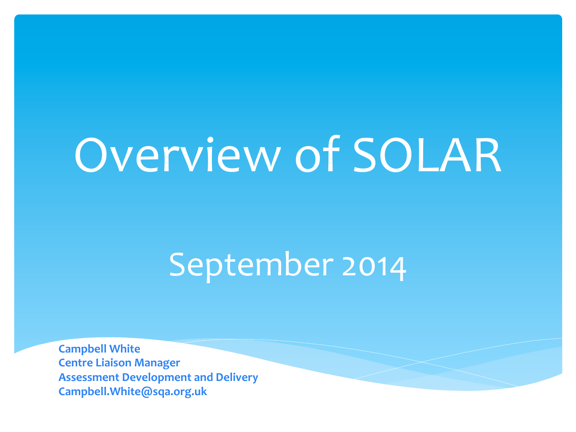# Overview of SOLAR

### September 2014

**Campbell White Centre Liaison Manager Assessment Development and Delivery Campbell.White@sqa.org.uk**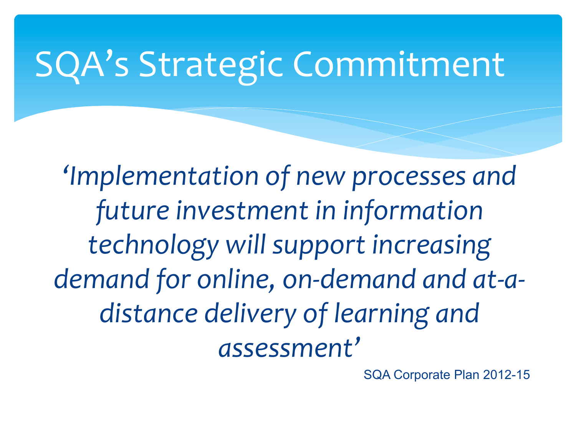# SQA's Strategic Commitment

*'Implementation* of new processes and future investment in information technology will support increasing demand for online, on-demand and at-adistance delivery of learning and *assessment'*

SQA Corporate Plan 2012-15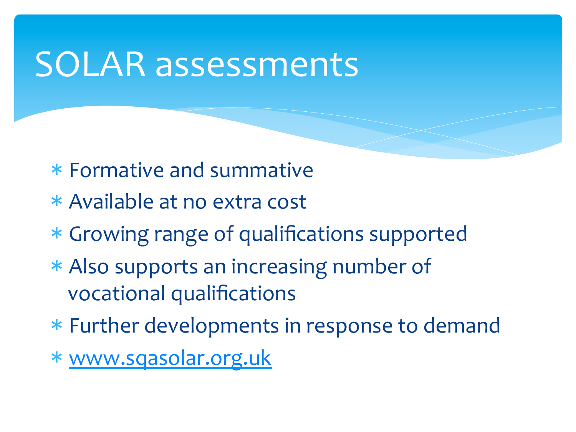### SOLAR assessments

- \* Formative and summative
- \* Available at no extra cost
- \* Growing range of qualifications supported
- \* Also supports an increasing number of vocational qualifications
- \* Further developments in response to demand
- \* www.sqasolar.org.uk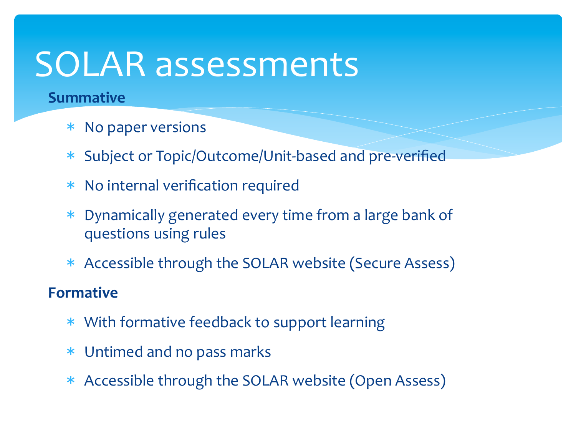## SOLAR assessments

#### **Summative**

- \* No paper versions
- \* Subject or Topic/Outcome/Unit-based and pre-verified
- $*$  No internal verification required
- \* Dynamically generated every time from a large bank of questions using rules
- \* Accessible through the SOLAR website (Secure Assess)

#### **Formative**

- \* With formative feedback to support learning
- \* Untimed and no pass marks
- \* Accessible through the SOLAR website (Open Assess)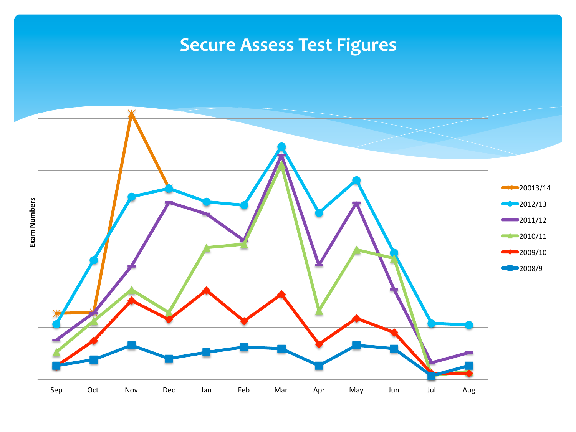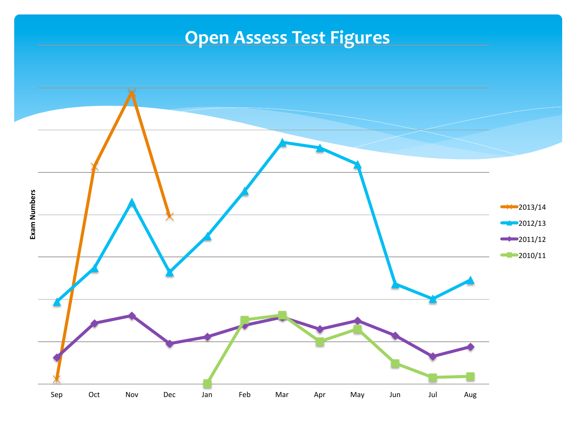#### **Open Assess Test Figures**

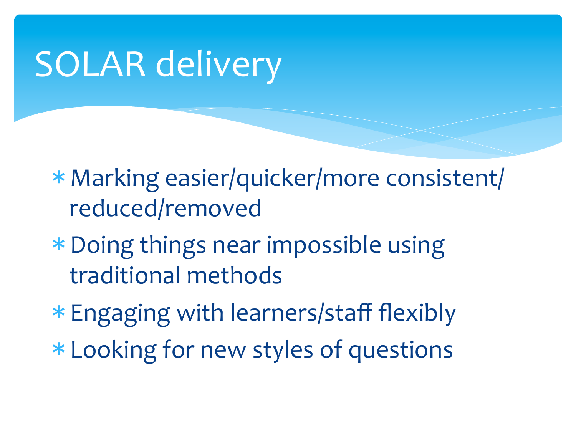# SOLAR delivery

\* Marking easier/quicker/more consistent/ reduced/removed 

- \* Doing things near impossible using traditional methods
- \* Engaging with learners/staff flexibly
- \* Looking for new styles of questions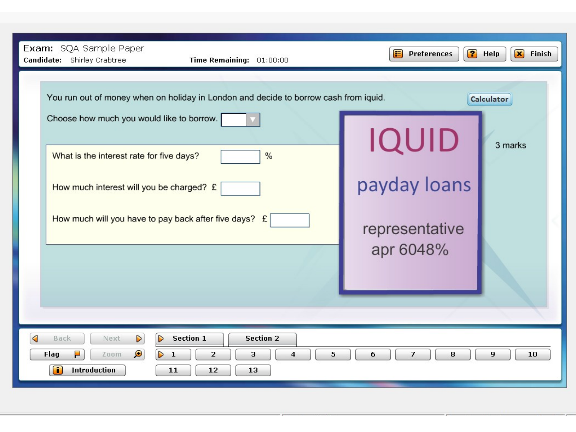| Exam: SQA Sample Paper<br>Candidate: Shirley Crabtree<br>Time Remaining: 01:00:00                                                                                                                                                                                                               | 2<br>E<br><b>Preferences</b>                                | $\mathbf{x}$<br>Finish<br>Help |
|-------------------------------------------------------------------------------------------------------------------------------------------------------------------------------------------------------------------------------------------------------------------------------------------------|-------------------------------------------------------------|--------------------------------|
| You run out of money when on holiday in London and decide to borrow cash from iquid.<br>Choose how much you would like to borrow.<br>%<br>What is the interest rate for five days?<br>How much interest will you be charged? £<br>How much will you have to pay back after five days? £         | <b>IQUID</b><br>payday loans<br>representative<br>apr 6048% | Calculator<br>3 marks          |
| ◁<br>$\triangleright$<br>D<br><b>Section 1</b><br><b>Section 2</b><br>Back<br>Next<br>Н<br>$\bullet$<br>$\triangleright$<br>5<br>$\overline{2}$<br>$\overline{\mathbf{4}}$<br>6<br>$\overline{7}$<br>8<br>9<br>Flag<br>$\mathbf{1}$<br>3<br>10<br>Zoom<br><b>Introduction</b><br>11<br>12<br>13 |                                                             |                                |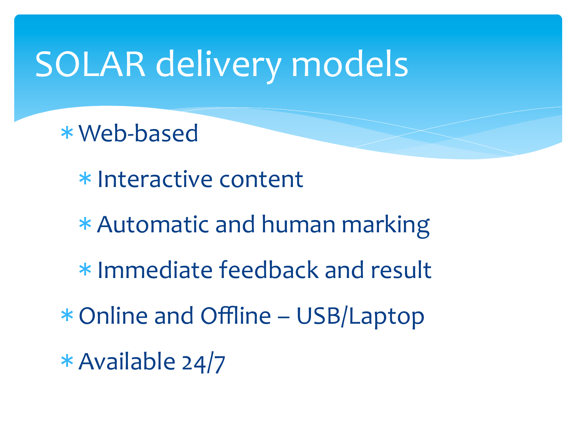## SOLAR delivery models

\* Web-based 

\* Interactive content

\* Automatic and human marking

\* Immediate feedback and result

 $*$  Online and Offline – USB/Laptop

 $*$  Available 24/7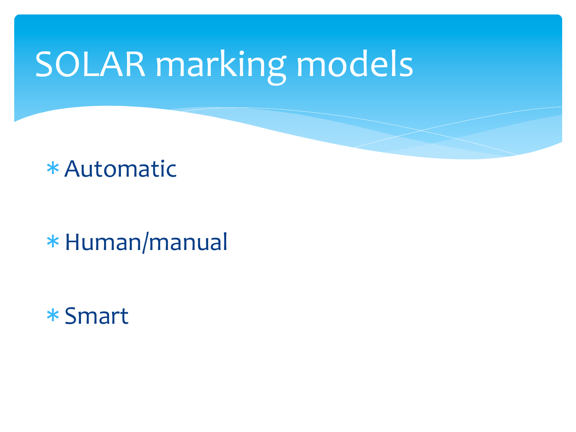# SOLAR marking models

\* Automatic 

\* Human/manual 

\* Smart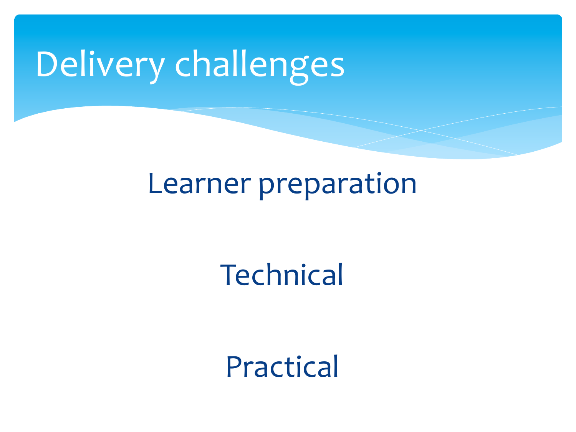# Delivery challenges

#### Learner preparation

#### **Technical**

Practical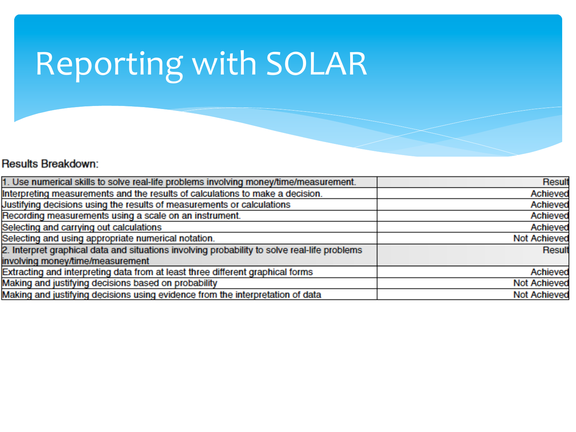# Reporting with SOLAR

#### **Results Breakdown:**

| 1. Use numerical skills to solve real-life problems involving money/time/measurement.        | <b>Result</b>       |
|----------------------------------------------------------------------------------------------|---------------------|
| Interpreting measurements and the results of calculations to make a decision.                | Achieved            |
| Justifying decisions using the results of measurements or calculations                       | Achieved            |
| Recording measurements using a scale on an instrument.                                       | Achieved            |
| Selecting and carrying out calculations                                                      | Achieved            |
| Selecting and using appropriate numerical notation.                                          | <b>Not Achieved</b> |
| 2. Interpret graphical data and situations involving probability to solve real-life problems | Result              |
| involving money/time/measurement                                                             |                     |
| Extracting and interpreting data from at least three different graphical forms               | Achieved            |
| Making and justifying decisions based on probability                                         | <b>Not Achieved</b> |
| Making and justifying decisions using evidence from the interpretation of data               | <b>Not Achieved</b> |
|                                                                                              |                     |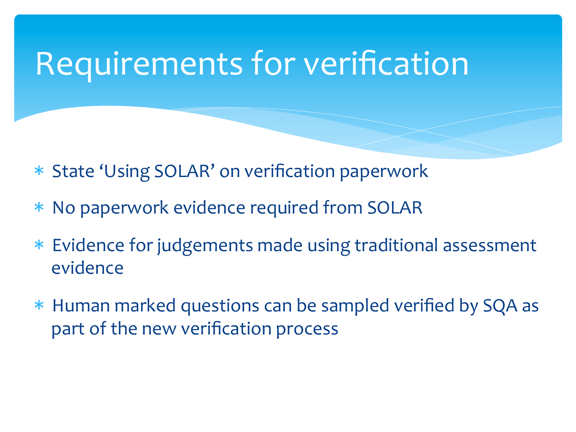### Requirements for verification

- \* State 'Using SOLAR' on verification paperwork
- \* No paperwork evidence required from SOLAR
- \* Evidence for judgements made using traditional assessment evidence
- \* Human marked questions can be sampled verified by SQA as part of the new verification process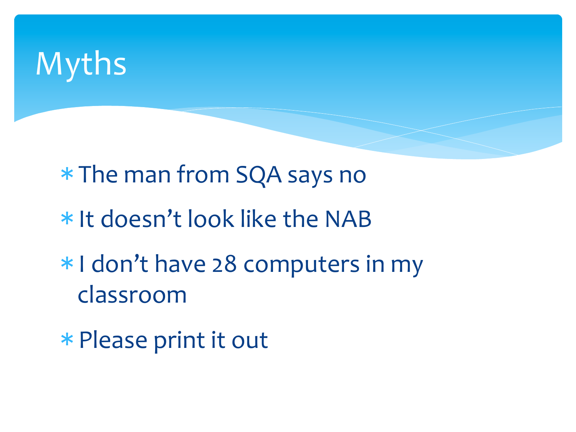## Myths

\* The man from SQA says no

- \* It doesn't look like the NAB
- \* I don't have 28 computers in my classroom
- \* Please print it out